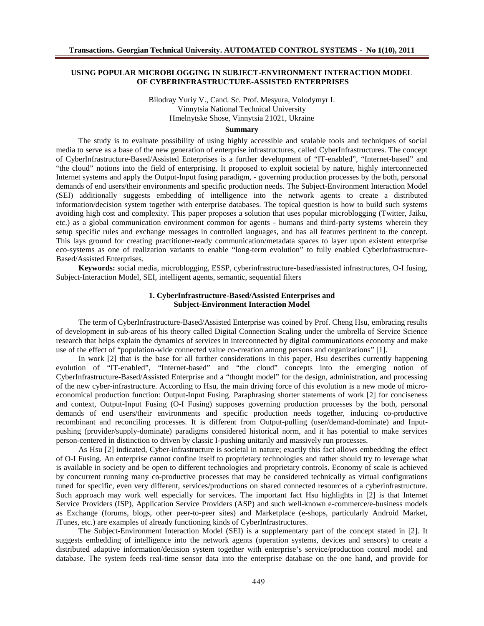## **USING POPULAR MICROBLOGGING IN SUBJECT-ENVIRONMENT INTERACTION MODEL OF CYBERINFRASTRUCTURE-ASSISTED ENTERPRISES**

Bilodray Yuriy V., Cand. Sc. Prof. Mesyura, Volodymyr I. Vinnytsia National Technical University Hmelnytske Shose, Vinnytsia 21021, Ukraine

### **Summary**

The study is to evaluate possibility of using highly accessible and scalable tools and techniques of social media to serve as a base of the new generation of enterprise infrastructures, called CyberInfrastructures. The concept of CyberInfrastructure-Based/Assisted Enterprises is a further development of "IT-enabled", "Internet-based" and "the cloud" notions into the field of enterprising. It proposed to exploit societal by nature, highly interconnected Internet systems and apply the Output-Input fusing paradigm, - governing production processes by the both, personal demands of end users/their environments and specific production needs. The Subject-Environment Interaction Model (SEI) additionally suggests embedding of intelligence into the network agents to create a distributed information/decision system together with enterprise databases. The topical question is how to build such systems avoiding high cost and complexity. This paper proposes a solution that uses popular microblogging (Twitter, Jaiku, etc.) as a global communication environment common for agents - humans and third-party systems wherein they setup specific rules and exchange messages in controlled languages, and has all features pertinent to the concept. This lays ground for creating practitioner-ready communication/metadata spaces to layer upon existent enterprise eco-systems as one of realization variants to enable "long-term evolution" to fully enabled CyberInfrastructure-Based/Assisted Enterprises.

**Keywords:** social media, microblogging, ESSP, cyberinfrastructure-based/assisted infrastructures, O-I fusing, Subject-Interaction Model, SEI, intelligent agents, semantic, sequential filters

## **1. CyberInfrastructure-Based/Assisted Enterprises and Subject-Environment Interaction Model**

The term of CyberInfrastructure-Based/Assisted Enterprise was coined by Prof. Cheng Hsu, embracing results of development in sub-areas of his theory called Digital Connection Scaling under the umbrella of Service Science research that helps explain the dynamics of services in interconnected by digital communications economy and make use of the effect of "population-wide connected value co-creation among persons and organizations" [1].

In work [2] that is the base for all further considerations in this paper, Hsu describes currently happening evolution of "IT-enabled", "Internet-based" and "the cloud" concepts into the emerging notion of CyberInfrastructure-Based/Assisted Enterprise and a "thought model" for the design, administration, and processing of the new cyber-infrastructure. According to Hsu, the main driving force of this evolution is a new mode of microeconomical production function: Output-Input Fusing. Paraphrasing shorter statements of work [2] for conciseness and context, Output-Input Fusing (O-I Fusing) supposes governing production processes by the both, personal demands of end users/their environments and specific production needs together, inducing co-productive recombinant and reconciling processes. It is different from Output-pulling (user/demand-dominate) and Inputpushing (provider/supply-dominate) paradigms considered historical norm, and it has potential to make services person-centered in distinction to driven by classic I-pushing unitarily and massively run processes.

As Hsu [2] indicated, Cyber-infrastructure is societal in nature; exactly this fact allows embedding the effect of O-I Fusing. An enterprise cannot confine itself to proprietary technologies and rather should try to leverage what is available in society and be open to different technologies and proprietary controls. Economy of scale is achieved by concurrent running many co-productive processes that may be considered technically as virtual configurations tuned for specific, even very different, services/productions on shared connected resources of a cyberinfrastructure. Such approach may work well especially for services. The important fact Hsu highlights in [2] is that Internet Service Providers (ISP), Application Service Providers (ASP) and such well-known e-commerce/e-business models as Exchange (forums, blogs, other peer-to-peer sites) and Marketplace (e-shops, particularly Android Market, iTunes, etc.) are examples of already functioning kinds of CyberInfrastructures.

The Subject-Environment Interaction Model (SEI) is a supplementary part of the concept stated in [2]. It suggests embedding of intelligence into the network agents (operation systems, devices and sensors) to create a distributed adaptive information/decision system together with enterprise's service/production control model and database. The system feeds real-time sensor data into the enterprise database on the one hand, and provide for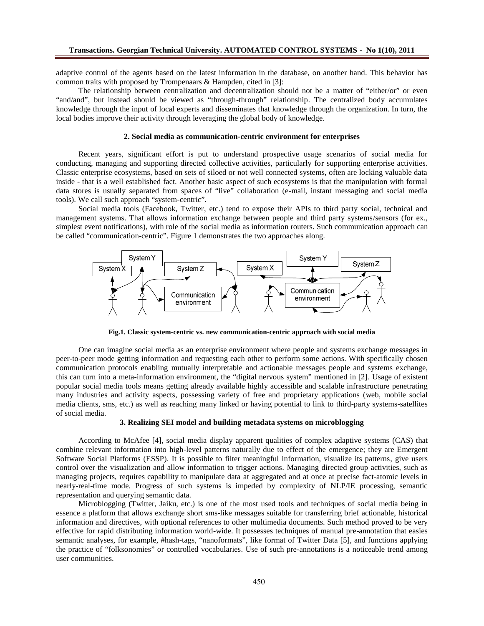adaptive control of the agents based on the latest information in the database, on another hand. This behavior has common traits with proposed by Trompenaars & Hampden, cited in [3]:

The relationship between centralization and decentralization should not be a matter of "either/or" or even "and/and", but instead should be viewed as "through-through" relationship. The centralized body accumulates knowledge through the input of local experts and disseminates that knowledge through the organization. In turn, the local bodies improve their activity through leveraging the global body of knowledge.

## **2. Social media as communication-centric environment for enterprises**

Recent years, significant effort is put to understand prospective usage scenarios of social media for conducting, managing and supporting directed collective activities, particularly for supporting enterprise activities. Classic enterprise ecosystems, based on sets of siloed or not well connected systems, often are locking valuable data inside - that is a well established fact. Another basic aspect of such ecosystems is that the manipulation with formal data stores is usually separated from spaces of "live" collaboration (e-mail, instant messaging and social media tools). We call such approach "system-centric".

Social media tools (Facebook, Twitter, etc.) tend to expose their APIs to third party social, technical and management systems. That allows information exchange between people and third party systems/sensors (for ex., simplest event notifications), with role of the social media as information routers. Such communication approach can be called "communication-centric". Figure 1 demonstrates the two approaches along.



**Fig.1. Classic system-centric vs. new communication-centric approach with social media**

One can imagine social media as an enterprise environment where people and systems exchange messages in peer-to-peer mode getting information and requesting each other to perform some actions. With specifically chosen communication protocols enabling mutually interpretable and actionable messages people and systems exchange, this can turn into a meta-information environment, the "digital nervous system" mentioned in [2]. Usage of existent popular social media tools means getting already available highly accessible and scalable infrastructure penetrating many industries and activity aspects, possessing variety of free and proprietary applications (web, mobile social media clients, sms, etc.) as well as reaching many linked or having potential to link to third-party systems-satellites of social media.

### **3. Realizing SEI model and building metadata systems on microblogging**

According to McAfee [4], social media display apparent qualities of complex adaptive systems (CAS) that combine relevant information into high-level patterns naturally due to effect of the emergence; they are Emergent Software Social Platforms (ESSP). It is possible to filter meaningful information, visualize its patterns, give users control over the visualization and allow information to trigger actions. Managing directed group activities, such as managing projects, requires capability to manipulate data at aggregated and at once at precise fact-atomic levels in nearly-real-time mode. Progress of such systems is impeded by complexity of NLP/IE processing, semantic representation and querying semantic data.

Microblogging (Twitter, Jaiku, etc.) is one of the most used tools and techniques of social media being in essence a platform that allows exchange short sms-like messages suitable for transferring brief actionable, historical information and directives, with optional references to other multimedia documents. Such method proved to be very effective for rapid distributing information world-wide. It possesses techniques of manual pre-annotation that easies semantic analyses, for example, #hash-tags, "nanoformats", like format of Twitter Data [5], and functions applying the practice of "folksonomies" or controlled vocabularies. Use of such pre-annotations is a noticeable trend among user communities.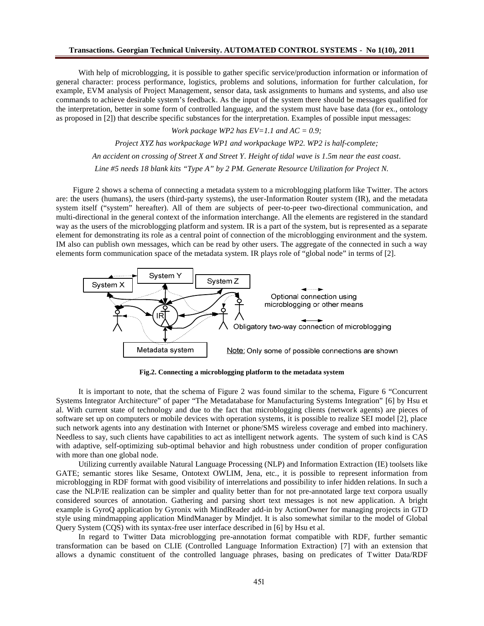With help of microblogging, it is possible to gather specific service/production information or information of general character: process performance, logistics, problems and solutions, information for further calculation, for example, EVM analysis of Project Management, sensor data, task assignments to humans and systems, and also use commands to achieve desirable system's feedback. As the input of the system there should be messages qualified for the interpretation, better in some form of controlled language, and the system must have base data (for ex., ontology as proposed in [2]) that describe specific substances for the interpretation. Examples of possible input messages:

*Work package WP2 has EV=1.1 and AC = 0.9;*

*Project XYZ has workpackage WP1 and workpackage WP2. WP2 is half-complete; An accident on crossing of Street X and Street Y. Height of tidal wave is 1.5m near the east coast. Line #5 needs 18 blank kits "Type A" by 2 PM. Generate Resource Utilization for Project N.*

Figure 2 shows a schema of connecting a metadata system to a microblogging platform like Twitter. The actors are: the users (humans), the users (third-party systems), the user-Information Router system (IR), and the metadata system itself ("system" hereafter). All of them are subjects of peer-to-peer two-directional communication, and multi-directional in the general context of the information interchange. All the elements are registered in the standard way as the users of the microblogging platform and system. IR is a part of the system, but is represented as a separate element for demonstrating its role as a central point of connection of the microblogging environment and the system. IM also can publish own messages, which can be read by other users. The aggregate of the connected in such a way elements form communication space of the metadata system. IR plays role of "global node" in terms of [2].



**Fig.2. Connecting a microblogging platform to the metadata system**

It is important to note, that the schema of Figure 2 was found similar to the schema, Figure 6 "Concurrent Systems Integrator Architecture" of paper "The Metadatabase for Manufacturing Systems Integration" [6] by Hsu et al. With current state of technology and due to the fact that microblogging clients (network agents) are pieces of software set up on computers or mobile devices with operation systems, it is possible to realize SEI model [2], place such network agents into any destination with Internet or phone/SMS wireless coverage and embed into machinery. Needless to say, such clients have capabilities to act as intelligent network agents. The system of such kind is CAS with adaptive, self-optimizing sub-optimal behavior and high robustness under condition of proper configuration with more than one global node.

Utilizing currently available Natural Language Processing (NLP) and Information Extraction (IE) toolsets like GATE; semantic stores like Sesame, Ontotext OWLIM, Jena, etc., it is possible to represent information from microblogging in RDF format with good visibility of interrelations and possibility to infer hidden relations. In such a case the NLP/IE realization can be simpler and quality better than for not pre-annotated large text corpora usually considered sources of annotation. Gathering and parsing short text messages is not new application. A bright example is GyroQ application by Gyronix with MindReader add-in by ActionOwner for managing projects in GTD style using mindmapping application MindManager by Mindjet. It is also somewhat similar to the model of Global Query System (CQS) with its syntax-free user interface described in [6] by Hsu et al.

In regard to Twitter Data microblogging pre-annotation format compatible with RDF, further semantic transformation can be based on CLIE (Controlled Language Information Extraction) [7] with an extension that allows a dynamic constituent of the controlled language phrases, basing on predicates of Twitter Data/RDF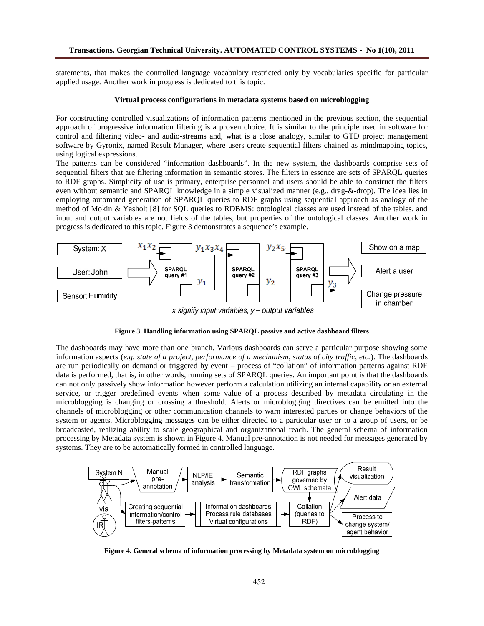statements, that makes the controlled language vocabulary restricted only by vocabularies specific for particular applied usage. Another work in progress is dedicated to this topic.

#### **Virtual process configurations in metadata systems based on microblogging**

For constructing controlled visualizations of information patterns mentioned in the previous section, the sequential approach of progressive information filtering is a proven choice. It is similar to the principle used in software for control and filtering video- and audio-streams and, what is a close analogy, similar to GTD project management software by Gyronix, named Result Manager, where users create sequential filters chained as mindmapping topics, using logical expressions.

The patterns can be considered "information dashboards". In the new system, the dashboards comprise sets of sequential filters that are filtering information in semantic stores. The filters in essence are sets of SPARQL queries to RDF graphs. Simplicity of use is primary, enterprise personnel and users should be able to construct the filters even without semantic and SPARQL knowledge in a simple visualized manner (e.g., drag-&-drop). The idea lies in employing automated generation of SPARQL queries to RDF graphs using sequential approach as analogy of the method of Mokin & Yasholt [8] for SQL queries to RDBMS: ontological classes are used instead of the tables, and input and output variables are not fields of the tables, but properties of the ontological classes. Another work in progress is dedicated to this topic. Figure 3 demonstrates a sequence's example.





The dashboards may have more than one branch. Various dashboards can serve a particular purpose showing some information aspects (*e.g. state of a project, performance of a mechanism, status of city traffic, etc.*). The dashboards are run periodically on demand or triggered by event – process of "collation" of information patterns against RDF data is performed, that is, in other words, running sets of SPARQL queries. An important point is that the dashboards can not only passively show information however perform a calculation utilizing an internal capability or an external service, or trigger predefined events when some value of a process described by metadata circulating in the microblogging is changing or crossing a threshold. Alerts or microblogging directives can be emitted into the channels of microblogging or other communication channels to warn interested parties or change behaviors of the system or agents. Microblogging messages can be either directed to a particular user or to a group of users, or be broadcasted, realizing ability to scale geographical and organizational reach. The general schema of information processing by Metadata system is shown in Figure 4. Manual pre-annotation is not needed for messages generated by systems. They are to be automatically formed in controlled language.



**Figure 4. General schema of information processing by Metadata system on microblogging**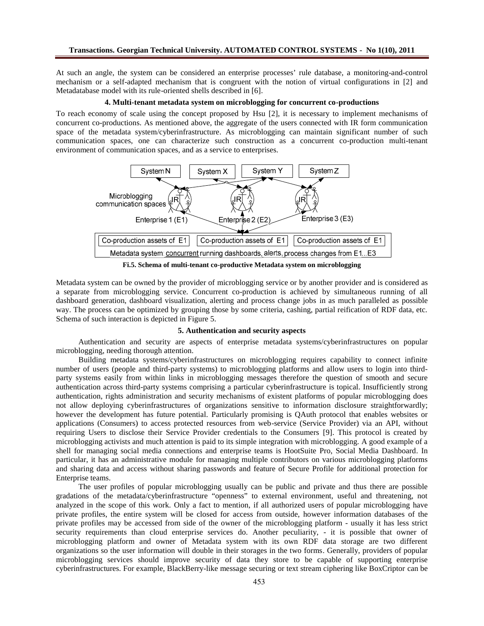At such an angle, the system can be considered an enterprise processes' rule database, a monitoring-and-control mechanism or a self-adapted mechanism that is congruent with the notion of virtual configurations in [2] and Metadatabase model with its rule-oriented shells described in [6].

#### **4. Multi-tenant metadata system on microblogging for concurrent co-productions**

To reach economy of scale using the concept proposed by Hsu [2], it is necessary to implement mechanisms of concurrent co-productions. As mentioned above, the aggregate of the users connected with IR form communication space of the metadata system/cyberinfrastructure. As microblogging can maintain significant number of such communication spaces, one can characterize such construction as a concurrent co-production multi-tenant environment of communication spaces, and as a service to enterprises.



**Fi.5. Schema of multi-tenant co-productive Metadata system on microblogging**

Metadata system can be owned by the provider of microblogging service or by another provider and is considered as a separate from microblogging service. Concurrent co-production is achieved by simultaneous running of all dashboard generation, dashboard visualization, alerting and process change jobs in as much paralleled as possible way. The process can be optimized by grouping those by some criteria, cashing, partial reification of RDF data, etc. Schema of such interaction is depicted in Figure 5.

## **5. Authentication and security aspects**

Authentication and security are aspects of enterprise metadata systems/cyberinfrastructures on popular microblogging, needing thorough attention.

Building metadata systems/cyberinfrastructures on microblogging requires capability to connect infinite number of users (people and third-party systems) to microblogging platforms and allow users to login into thirdparty systems easily from within links in microblogging messages therefore the question of smooth and secure authentication across third-party systems comprising a particular cyberinfrastructure is topical. Insufficiently strong authentication, rights administration and security mechanisms of existent platforms of popular microblogging does not allow deploying cyberinfrastructures of organizations sensitive to information disclosure straightforwardly; however the development has future potential. Particularly promising is QAuth protocol that enables websites or applications (Consumers) to access protected resources from web-service (Service Provider) via an API, without requiring Users to disclose their Service Provider credentials to the Consumers [9]. This protocol is created by microblogging activists and much attention is paid to its simple integration with microblogging. A good example of a shell for managing social media connections and enterprise teams is HootSuite Pro, Social Media Dashboard. In particular, it has an administrative module for managing multiple contributors on various microblogging platforms and sharing data and access without sharing passwords and feature of Secure Profile for additional protection for Enterprise teams.

The user profiles of popular microblogging usually can be public and private and thus there are possible gradations of the metadata/cyberinfrastructure "openness" to external environment, useful and threatening, not analyzed in the scope of this work. Only a fact to mention, if all authorized users of popular microblogging have private profiles, the entire system will be closed for access from outside, however information databases of the private profiles may be accessed from side of the owner of the microblogging platform - usually it has less strict security requirements than cloud enterprise services do. Another peculiarity, - it is possible that owner of microblogging platform and owner of Metadata system with its own RDF data storage are two different organizations so the user information will double in their storages in the two forms. Generally, providers of popular microblogging services should improve security of data they store to be capable of supporting enterprise cyberinfrastructures. For example, BlackBerry-like message securing or text stream ciphering like BoxCriptor can be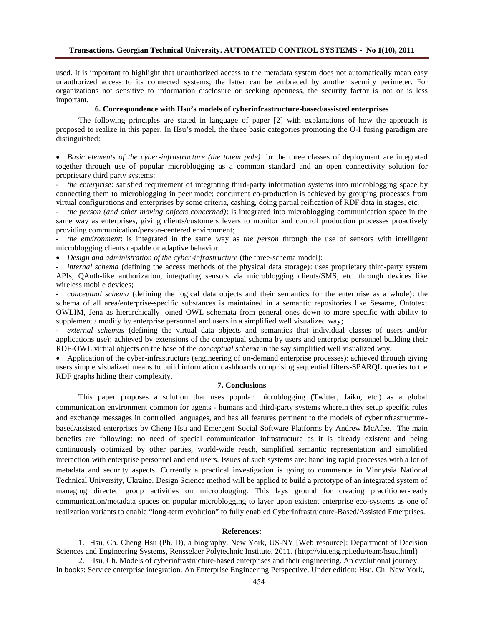used.It is important to highlight that nauthorized acess to the metadata system does not autationally meaneasy unauthorizedaccess to its connected vstems; he latter can be embraced by another ecurity perimeter. For organizations not sensitive to information disclosure or seeking openness, the security factororiss less important.

6. Correspondence withHsu€s model of cyberinfrastructure-based assisted enterprises

The following principlesare statedn language of paper [2]with explanationsof how the approach is proposed to realize in this paper Hsu, s model, the tree basic categies promoting the  $\Phi$  fusing paradigmare distinguished:

ð Basic elements of the cybernfrastructure (the totem pole pr the three classes of deploymente integrated together through use of popular microbloggias a common standard and an open convited controller for proprietary third party systems:

- the enterprises atisfied requiement of integrating third arty information systems into microbloggingspaceby connecting them to microblogging in peermode; concurrent eproduction is achieved by rouping processes from virtual configurations and enterprises some criteria, cashing ping partial reification of RDF datan stages etc.

the person (and other moving objects concernisation equated into microblogging communication space in the sameway as enterprises giving clients/customers evers to monitor and control production processes proactively providing communication/persexentered environment

the environmentis integrated in the samway as the personthrough the use of sensors with telligent microblogging clients capable or adaptive behavior.

ð Design and administration of the cybiafrastructure(the threeschema model)

internal schema defining the access methods of the physical data storages proprietary thirdarty system APIs, QAuth-like authorization, integrating seens via microblogging client SMS, etc. through devices like wireless mobile devices;

- conceptual scheme defining the logical data objects and their semantics for the enterprise as a willhele) schema of all **rea/enterprisepecific substances** is maintained in a semantic repositories like Sesame, Ontotext OWLIM, Jenaas hierarchically joined OWL schemata from general downto more specific with ability to supplement / modify by enterprise personnel and suite as implified well visualized way

- external schemas(defining the virtual data objects and semantics that individual classes of users and/or applications use)achieved by extensions of the conceptual schema by users and enterprise personnel heirilding t RDF-OWL virtual objects on the base of thenceptual schemia the say simplified well visualized way.

ð· Application of the cybeinfrastructure (engineering **o**f demand enterprise processes): achieved through giving uses simple visualized means touild information dashboards comprising sequential file RSP&RQL queries to the RDF graphs hiding their complexity.

# 7. Conclusions

This paper proposes a solution that uses popular microblogging (Twitter, Jaiku, etc.) as a global communication environmentommon for agents-humans and third-arty systems wherein they setup specific rules and exchange messages in controlled languages, and has all features pertinent to the models of cyberinfrastructure based/assisted enterprises by Cheng Hsu and Emengesial Software Platforms by Andrew McAfeeThe main benefits are following: no need of special communication infrastructure as it is ready existent and being continuously optimized by other parties orld-wide reach simplified semantic representation dassimplified interactionwith enterprise personnel and end ust we such systemare handlingrapid processes with a lot of metadataand security aspect©urrently a practical investigation is going to commente Vinnytsia National Technical University, Ukraine.Design Science methodill be applied to build a prototype of an integrated system of managing directed group activities omicroblogging. This lays ground for creating practitionerady communication/metadata spaces popular microbloging to layer upon existent enterprise expostems as one of realization variants to enable €leteam evolution• to fully enabled CyberInfrastructuBesed/Assisted Enterprises.

# References:

1. Hsu, Ch.Cheng Hsu (Ph. D)a biography. New York, USNY [Web resource] Department of Decision Sciences and Engineering Systems, Rensselaer Polytechnic Institute, 2014/iviu.eng.rpi.edu/team/hsuc.html

2. Hsu, Ch.Models of cyberinfrastructurbased enterprises and their engineering. An evolutional journe In bocks: Service enterprise integration. An Enterprise Engineering Perspective. Under edition: Hitew Chark,